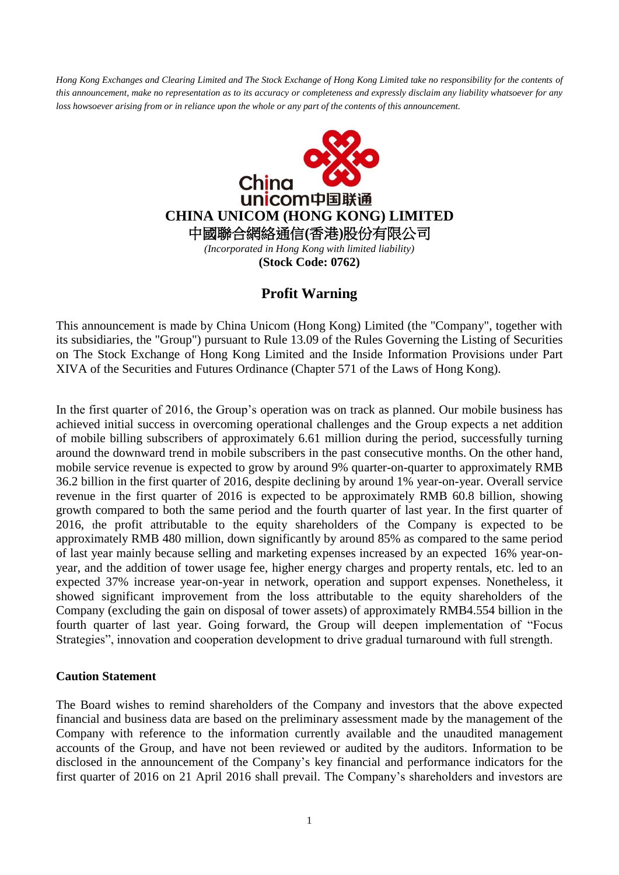*Hong Kong Exchanges and Clearing Limited and The Stock Exchange of Hong Kong Limited take no responsibility for the contents of this announcement, make no representation as to its accuracy or completeness and expressly disclaim any liability whatsoever for any loss howsoever arising from or in reliance upon the whole or any part of the contents of this announcement.*



## **Profit Warning**

This announcement is made by China Unicom (Hong Kong) Limited (the "Company", together with its subsidiaries, the "Group") pursuant to Rule 13.09 of the Rules Governing the Listing of Securities on The Stock Exchange of Hong Kong Limited and the Inside Information Provisions under Part XIVA of the Securities and Futures Ordinance (Chapter 571 of the Laws of Hong Kong).

In the first quarter of 2016, the Group's operation was on track as planned. Our mobile business has achieved initial success in overcoming operational challenges and the Group expects a net addition of mobile billing subscribers of approximately 6.61 million during the period, successfully turning around the downward trend in mobile subscribers in the past consecutive months. On the other hand, mobile service revenue is expected to grow by around 9% quarter-on-quarter to approximately RMB 36.2 billion in the first quarter of 2016, despite declining by around 1% year-on-year. Overall service revenue in the first quarter of 2016 is expected to be approximately RMB 60.8 billion, showing growth compared to both the same period and the fourth quarter of last year. In the first quarter of 2016, the profit attributable to the equity shareholders of the Company is expected to be approximately RMB 480 million, down significantly by around 85% as compared to the same period of last year mainly because selling and marketing expenses increased by an expected 16% year-onyear, and the addition of tower usage fee, higher energy charges and property rentals, etc. led to an expected 37% increase year-on-year in network, operation and support expenses. Nonetheless, it showed significant improvement from the loss attributable to the equity shareholders of the Company (excluding the gain on disposal of tower assets) of approximately RMB4.554 billion in the fourth quarter of last year. Going forward, the Group will deepen implementation of "Focus Strategies", innovation and cooperation development to drive gradual turnaround with full strength.

## **Caution Statement**

The Board wishes to remind shareholders of the Company and investors that the above expected financial and business data are based on the preliminary assessment made by the management of the Company with reference to the information currently available and the unaudited management accounts of the Group, and have not been reviewed or audited by the auditors. Information to be disclosed in the announcement of the Company's key financial and performance indicators for the first quarter of 2016 on 21 April 2016 shall prevail. The Company's shareholders and investors are